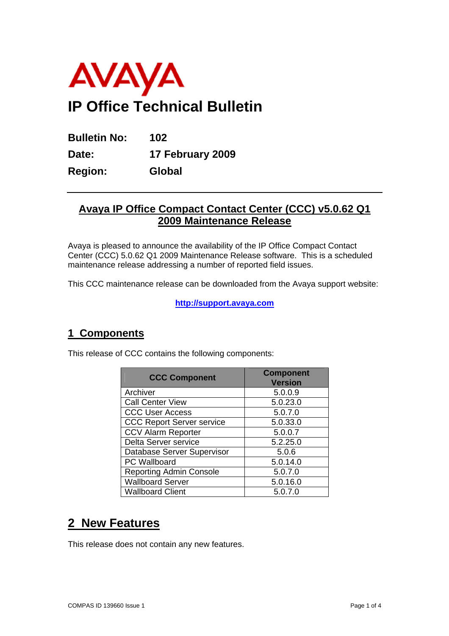

**Bulletin No: 102 Date: 17 February 2009 Region: Global** 

## **Avaya IP Office Compact Contact Center (CCC) v5.0.62 Q1 2009 Maintenance Release**

Avaya is pleased to announce the availability of the IP Office Compact Contact Center (CCC) 5.0.62 Q1 2009 Maintenance Release software. This is a scheduled maintenance release addressing a number of reported field issues.

This CCC maintenance release can be downloaded from the Avaya support website:

**http://support.avaya.com**

### **1 Components**

This release of CCC contains the following components:

| <b>CCC Component</b>             | <b>Component</b><br><b>Version</b> |
|----------------------------------|------------------------------------|
| Archiver                         | 5.0.0.9                            |
| <b>Call Center View</b>          | 5.0.23.0                           |
| <b>CCC User Access</b>           | 5.0.7.0                            |
| <b>CCC Report Server service</b> | 5.0.33.0                           |
| <b>CCV Alarm Reporter</b>        | 5.0.0.7                            |
| Delta Server service             | 5.2.25.0                           |
| Database Server Supervisor       | 5.0.6                              |
| PC Wallboard                     | 5.0.14.0                           |
| <b>Reporting Admin Console</b>   | 5.0.7.0                            |
| <b>Wallboard Server</b>          | 5.0.16.0                           |
| <b>Wallboard Client</b>          | 5.0.7.0                            |

# **2 New Features**

This release does not contain any new features.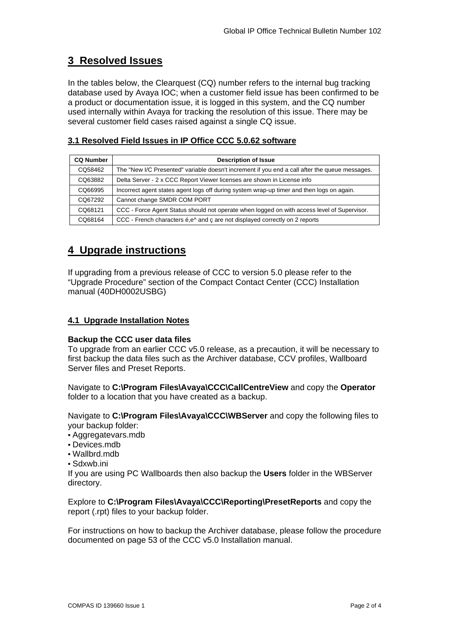### **3 Resolved Issues**

In the tables below, the Clearquest (CQ) number refers to the internal bug tracking database used by Avaya IOC; when a customer field issue has been confirmed to be a product or documentation issue, it is logged in this system, and the CQ number used internally within Avaya for tracking the resolution of this issue. There may be several customer field cases raised against a single CQ issue.

#### **3.1 Resolved Field Issues in IP Office CCC 5.0.62 software**

| <b>CQ Number</b> | <b>Description of Issue</b>                                                                    |  |  |  |
|------------------|------------------------------------------------------------------------------------------------|--|--|--|
| CQ58462          | The "New I/C Presented" variable doesn't increment if you end a call after the queue messages. |  |  |  |
| CQ63882          | Delta Server - 2 x CCC Report Viewer licenses are shown in License info                        |  |  |  |
| CQ66995          | Incorrect agent states agent logs off during system wrap-up timer and then logs on again.      |  |  |  |
| CQ67292          | Cannot change SMDR COM PORT                                                                    |  |  |  |
| CO68121          | CCC - Force Agent Status should not operate when logged on with access level of Supervisor.    |  |  |  |
| CQ68164          | CCC - French characters é, e^ and c are not displayed correctly on 2 reports                   |  |  |  |

## **4 Upgrade instructions**

If upgrading from a previous release of CCC to version 5.0 please refer to the "Upgrade Procedure" section of the Compact Contact Center (CCC) Installation manual (40DH0002USBG)

#### **4.1 Upgrade Installation Notes**

#### **Backup the CCC user data files**

To upgrade from an earlier CCC v5.0 release, as a precaution, it will be necessary to first backup the data files such as the Archiver database, CCV profiles, Wallboard Server files and Preset Reports.

Navigate to **C:\Program Files\Avaya\CCC\CallCentreView** and copy the **Operator**  folder to a location that you have created as a backup.

Navigate to **C:\Program Files\Avaya\CCC\WBServer** and copy the following files to your backup folder:

- Aggregatevars.mdb
- Devices.mdb
- Wallbrd.mdb
- Sdxwb.ini

If you are using PC Wallboards then also backup the **Users** folder in the WBServer directory.

Explore to **C:\Program Files\Avaya\CCC\Reporting\PresetReports** and copy the report (.rpt) files to your backup folder.

For instructions on how to backup the Archiver database, please follow the procedure documented on page 53 of the CCC v5.0 Installation manual.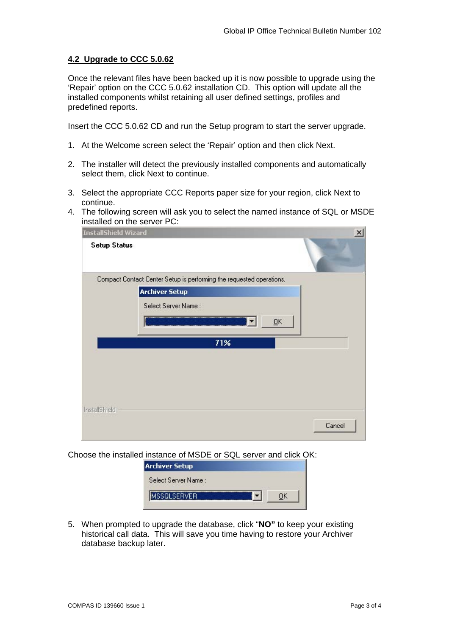#### **4.2 Upgrade to CCC 5.0.62**

Once the relevant files have been backed up it is now possible to upgrade using the 'Repair' option on the CCC 5.0.62 installation CD. This option will update all the installed components whilst retaining all user defined settings, profiles and predefined reports.

Insert the CCC 5.0.62 CD and run the Setup program to start the server upgrade.

- 1. At the Welcome screen select the 'Repair' option and then click Next.
- 2. The installer will detect the previously installed components and automatically select them, click Next to continue.
- 3. Select the appropriate CCC Reports paper size for your region, click Next to continue.
- 4. The following screen will ask you to select the named instance of SQL or MSDE installed on the server PC:

| InstallShield Wizard |                                                                      | $\vert x \vert$ |
|----------------------|----------------------------------------------------------------------|-----------------|
| <b>Setup Status</b>  |                                                                      |                 |
|                      | Compact Contact Center Setup is performing the requested operations. |                 |
|                      | <b>Archiver Setup</b>                                                |                 |
|                      | Select Server Name:                                                  |                 |
|                      |                                                                      | QK              |
|                      | 71%                                                                  |                 |
|                      |                                                                      |                 |
|                      |                                                                      |                 |
|                      |                                                                      |                 |
|                      |                                                                      |                 |
| InstallShield        |                                                                      |                 |
|                      |                                                                      | Cancel          |
|                      |                                                                      |                 |

Choose the installed instance of MSDE or SQL server and click OK:

| <b>Archiver Setup</b> |  |
|-----------------------|--|
| Select Server Name:   |  |
| <b>SQLSERVER</b>      |  |

5. When prompted to upgrade the database, click "**NO"** to keep your existing historical call data. This will save you time having to restore your Archiver database backup later.